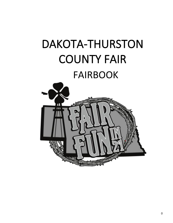# DAKOTA-THURSTON COUNTY FAIR FAIRBOOK

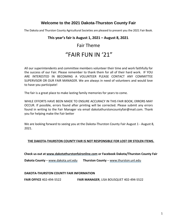## **Welcome to the 2021 Dakota-Thurston County Fair**

The Dakota and Thurston County Agricultural Societies are pleased to present you the 2021 Fair Book.

### **This year's fair is August 1, 2021 – August 8, 2021**.

## Fair Theme "FAIR FUN IN '21"

All our superintendents and committee members volunteer their time and work faithfully for the success of our Fair. Please remember to thank them for all of their hard work. IF YOU ARE INTERESTED IN BECOMING A VOLUNTEER PLEASE CONTACT ANY COMMITTEE SUPERVISOR OR OUR FAIR MANAGER. We are always in need of volunteers and would love to have you participate!

The fair is a great place to make lasting family memories for years to come.

WHILE EFFORTS HAVE BEEN MADE TO ENSURE ACCURACY IN THIS FAIR BOOK; ERRORS MAY OCCUR. If possible, errors found after printing will be corrected. Please submit any errors found in writing to the Fair Manager via email dakotathurstoncountyfair@mail.com. Thank you for helping make the Fair better

We are looking forward to seeing you at the Dakota-Thurston County Fair August 1 - August 8, 2021.

### **THE DAKOTA-THURSTON COUNTY FAIR IS NOT RESPONSIBLE FOR LOST OR STOLEN ITEMS.**

**Check us out at www.dakotathurstonfaironline.co[m](http://www.dakotathurstonfaironline.com/) or Facebook Dakota/Thurston County Fair** 

**Dakota County** [–](http://www.dakota.unl.edu/) [www.dakota.unl.edu](http://www.dakota.unl.edu/) **Thurston County** – [www.thurston.unl.edu](http://www.thurston.unl.edu/)

### **DAKOTA-THURSTON COUNTY FAIR INFORMATION**

**FAIR OFFICE** 402-494-5522 **FAIR MANAGER**, LISA BOUSQUET 402-494-5522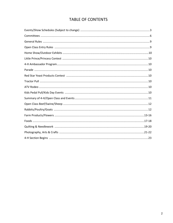## TABLE OF CONTENTS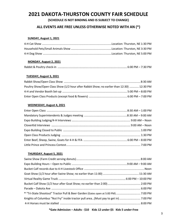## **2021 DAKOTA-THURSTON COUNTY FAIR SCHEDULE**

**(SCHEDULE IS NOT BINDING AND IS SUBJECT TO CHANGE)**

## **ALL EVENTS ARE FREE UNLESS OTHERWISE NOTED WITH AN (\*)**

### **SUNDAY, August 1, 2021**

### **MONDAY, August 2, 2021**

|--|--|

### **TUESDAY, August 3, 2021**

| Poultry Show/Open Class Show (1/2 hour after Rabbit Show; no earlier than 12:30)  12:30 PM |  |
|--------------------------------------------------------------------------------------------|--|
|                                                                                            |  |
|                                                                                            |  |

### **WEDNESDAY, August 4, 2021**

### **THURSDAY, August 5, 2021**

| * "Tri-State Shootout" Tractor Pull & Beer Garden (Gates open at 5:00 PM)  7:00 PM |  |
|------------------------------------------------------------------------------------|--|
|                                                                                    |  |
|                                                                                    |  |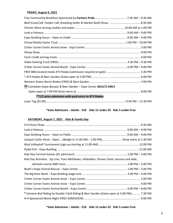### **FRIDAY, August 6, 2021**

| ** Comedian Gayle Becwar & Beer Garden - Expo Center ADULTS ONLY |  |
|------------------------------------------------------------------|--|
|                                                                  |  |
| **1/2 price admission with paid entry to ATV Rodeo               |  |
|                                                                  |  |

### **\*Gate Admission – Adults - \$10 Kids 12 under-\$5 Kids 5 under-Free**

### **SATURDAY, August 7, 2021 Kids & Family Day**

| Jackpot Cattle Show - Open(Weigh-in 11:00 AM - 1:00 PM) Show starts at 2:30 PM               |  |  |
|----------------------------------------------------------------------------------------------|--|--|
|                                                                                              |  |  |
|                                                                                              |  |  |
|                                                                                              |  |  |
| Kids Day Activities - Zip Line, Toxic Meltdown, inflatables, Drones Duels, bounce and slide, |  |  |
|                                                                                              |  |  |
|                                                                                              |  |  |
|                                                                                              |  |  |
|                                                                                              |  |  |
|                                                                                              |  |  |
|                                                                                              |  |  |
| * Extreme Bull Riding by Double S Bull Riding & Beer Garden (Gates open at 5:00 PM) 7:30 PM  |  |  |
|                                                                                              |  |  |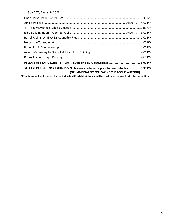### **SUNDAY, August 8, 2021**

| RELEASE OF LIVESTOCK EXHIBITS*- No trailers inside fence prior to Bonus Auction 5:30 PM<br>(OR IMMEDIATELY FOLLOWING THE BONUS AUCTION) |  |
|-----------------------------------------------------------------------------------------------------------------------------------------|--|
| *Premiums will be forfeited by the individual if exhibits (static and livestock) are removed prior to stated time.                      |  |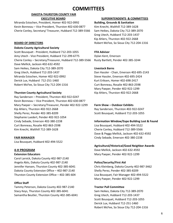## **COMMITTEES**

### **DAKOTA-THURSTON COUNTY FAIR EXECUTIVE BOARD**

Miranda Estochen, President, Homer 402-922-0992 **Building, Grounds & Sanitation** Kevin Bonneau – Vice President, Thurston 402-630-0877 Kim Knecht, Walthill 712-389-1628 Cherie Conley, Secretary/ Treasurer, Hubbard 712-389-5566 Sam Heikes, Dakota City 712-389-2070

### **Dakota County Agricultural Society**

Scott Bousquet - President, Hubbard 712-203-1055 **FFA Advisor** Amy Utech - Vice President, Hubbard 712-299-6775 Dylan Kent, Emerson Cherie Conley – Secretary/Treasurer, Hubbard 712-389-5566 Rusty Bartlett, Pender 402-385-3244 Dave Mellick, Jackson 402-632-4592 Sam Heikes, Dakota City 712-389-2070 **Livestock Barns** Greg Utech, Hubbard 712-203-1437 Dan Hassler - Chair, Emerson 402-695-2143 Miranda Estochen, Homer 402-922-0992 Steve Hassler, Emerson 402-695-2424 Derick Lux, Hubbard 712-251-1460 Kurt Eriksen, Homer 402-698-2417 Robert McFee, So Sioux City 712-204-1316 Curt Bonneau, Rosalie 402-863-2598

### **Thurston County Agricultural Society Kip Ahlers, Thurston 402-922-2668**

Ray Sanderson – President, Thurston 402-922-0247 Kevin Bonneau – Vice President, Thurston 402-630-0877 Mary Paeper – Secretary/Treasurer, Pender 402-922-1299 **Farm Show – Outdoor Exhibits**  Kip Ahlers, Thurston 402-922-2668 Ray Sanderson, Thurston 402-922-0247 Shelly Perez, Pender 402-385-8209 Scott Bousquet, Hubbard 712-203-1055 Stephanie Luedert, Pender 402-922-1054 Cindy Sebade, Emerson 402-380-2238 **Information Window/Expo Building Lost & Found** Curt Bonneau, Rosalie 402-863-2598 Lisa Bousquet, Hubbard 402-494-5522 Kim Knecht, Walthill 712-389-1628 Cherie Conley, Hubbard 712-389-5566

Lisa Bousquet, Hubbard 402-494-5522

Carol Larvick, Dakota County 402-987-2140 Angela Abts, Dakota County 402-987-2140 **Police/Security/First Aid** Jennifer Hansen, Thurston County 402-385-6041 Chris Kleinberg, Dakota County 402-987-3462 Dakota County Extension Office – 402-987-2140 Shelly Perez, Pender 402-385-8209 Thurston County Extension Office – 402-385-604 Lisa Bousquet, Fair Manager 402-494-5522

### **Office Staff**

Tammy Peterson, Dakota County 402-987-2140 **Tractor Pull Committee** Stacy Keys, Thurston County 402-385-6041 Sam Heikes, Dakota City 712-389-2070 Samantha Beutler, Thurston County 402-385-6041 Greg Utech, Hubbard 712-203-1437

### **SUPERINTENDENTS & COMMITTEES**

Greg Utech, Hubbard 712-203-1437 Kip Ahlers, Thurston 402-922-2668 **BOARD OF DIRECTORS Robert McFee, So Sioux City 712-204-1316** 

Mary Paeper, Pender 402-922-1299

Dave & Peggy Mellick, Jackson 402-632-4592 **FAIR MANAGER** Cindy Sebade, Emerson 402-380-2238

### **Agricultural/Historical/Good Neighbor Awards**

**4-H PROGRAM** Dave Mellick, Jackson 402-632-4592 **Extension Educators** Mary Paeper, Pender 402-922-1299

Mary Paeper, Pender 402-922-1299

Scott Bousquet, Hubbard 712-203-1055 Derick Lux, Hubbard 712-251-1460 Robert McFee, So Sioux City 712-204-1316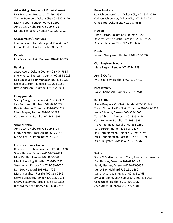### **Advertising, Programs & Entertainment Farm Products**

Mary Paeper, Pender 402-922-1299 Clint Barrs, Dakota City 402-987-6568 Amy Utech, Hubbard 712-299-6775 Miranda Estochen, Homer 402-922-0992 **Flowers**

Lisa Bousquet, Fair Manager 402-494-5522 Bev Smith, Sioux City, 712-239-0656 Cherie Conley, Hubbard 712-389-5566

Lisa Bousquet, Fair Manager 402-494-5522

Jacob Acero, Dakota County 402-494-7555 Shelly Perez, Thurston County 402-385-3018 **Arts & Crafts** Lisa Bousquet, Fair Manager 402-494-5522 Phyllis Birkley, Hubbard 402-632-4410 Scott Bousquet, Hubbard 712-203-1055 Ray Sanderson, Thurston 402-922-2094 **Photography**

### **Campgrounds**

Sherry Slaughter, Rosalie 402-863-2352 **Beef Cattle** Mary Paeper, Pender 402-922-1299 Andy Albrecht, Bassett 402-922-1000 Curt Bonneau, Rosalie 402-863-2598 Terry Albrecht, Thurston 402-385-2414

Amy Utech, Hubbard 712-299-6775 Kurt Eriksen, Homer 402-698-2417

### **Livestock Bonus Auction**

Kim Knecht – Chair, Walthill 712-389-1628 Steve Hassler, Emerson 402-695-2424 **Swine** Marlin Henning, Rosalie 402-863-2325 Dan Hassler, Emerson 402-695-2143 Sam Heikes, Dakota City 712-389-2070 Randy Hassler, Emerson 402-695-3037 Dan Lux, Hubbard 402-632-4726 Derick Lux, Hubbard 712-251-1460 Marla Slaughter, Rosalie 402-863-2246 Darrel Olson, Winnebago 402-385-2468 Sherry Slaughter, Rosalie 402-863-2352 Greg Utech, Hubbard 712-203-1437 Richard McNear, Homer 402-698-2282 Zach Utech, Hubbard 712-299-4201

Lisa Bousquet, Hubbard 402-494-5522 Ray Schleusner–Chair, Dakota City 402-987-3780 Tammy Peterson, Dakota City 402-987-2140 Colleen Schleusner, Dakota City 402-987-3780

Linda Castor, Dakota City 402-987-3056 **Sponsorships/Donations** Beverly Hermelbracht, Rosalie 402-863-2575

**Foods Parade** Janean Georgeson, Hubbard 402-698-2592

**Clothing/Needlework Parking Mary Paeper, Pender 402-922-1299** Mary Paeper, Pender 402-922-1299

Dolie Thompson, Homer 712-898-9788

Lisa Bousquet, Hubbard 402-494-5522 Bruce Paeper – Co-Chair, Pender 402-385-3421 Ray Sanderson, Thurston 402-922-0247 Travis Albrecht – Co-Chair, Thurston 402-385-2414 Curt Bonneau, Rosalie 402-863-2598 **Gates/Tickets** Trevor Bonneau, Rosalie 402-863-2159 Cindy Sebade, Emerson 402-695-2146 Ray Hermelbracht, Homer 402-698-2129 Kip Ahlers, Thurston 402-922-2668 Wes Hermelbracht, Rosalie 402-863-2139 Brad Slaughter, Rosalie 402-863-2246

Mike Beutler, Pender 402-385-3061 Steve & Corliss Hassler – Chair, Emerson 402-69-2424 Steve Burmester, Pender 402-385-2611 Jim & Jill Sharp, South Sioux City 402-494-0234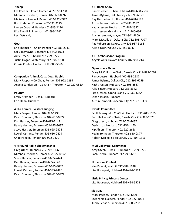Miranda Estochen, Homer 402-922-0992 James Bylsma, Dakota City 712-899-6059 Melissa Hollenbeck,Bassett 402-922-0942 Ray Hermelbracht, Homer 402-698-2129 Bob Krahmer, Emerson 402-695-2123 Arron Jessen, Hubbard 402-987-2587 Lauren Ostrand, Pender 402-385-2146 Kathy Jessen, Hubbard 402-987-2587 Rita Thrailkill, Emerson 402-695-2242 Issac Jessen, Grand Island 712-560-6564 Lexi Ostrand, Austin Lambert, Wayne 712-301-5309

Eric Thomsen – Chair, Pender 402-385-2143 Allie Singer, Wayne 712-253-8342 Sally Tremayne, Bancroft 402-922-1023 Amy Utech, Hubbard 712-299-6775 **4-H Ambassador Program** Justin Hogan, Waterbury 712-898-2790 Angela Abts, Dakota County 402-987-2140 Cherie Conley, Hubbard 712-389-5566

#### **Companion Animal, Cats, Dogs, Rabbit** Randy Jessen, Hubbard 402-698-2587

Mary Paeper – Co-Chair, Pender 402-922-1299 James Bylsma, Dakota City 712-899-6059 Angela Sanderson – Co-Chair, Thurston, 402-922-0810 Kathy Jessen, Hubbard 402-698-2587

Emily Kramper – Chair, Hubbard Ethan Jessen, Hubbard

#### **4-H & Family Livestock Judging Events Committee**

Dan Hassler, Emerson 402-695-2143 Greg Utech, Hubbard 712-203-1437 Randy Hassler, Emerson 402-695-3037 Derick Lux, Hubbard 712-251-1460 Steve Hassler, Emerson 402-695-2424 Kip Ahlers, Thurston 402-922-2668

#### **4-H Round Robin Showmanship Mud Volleyball Committee**

Miranda Estochen, Homer 402-922-0992 Zach Utech, Hubbard 712-299-4201 Steve Hassler, Emerson 402-695-2424 Dan Hassler, Emerson 402-695-2143 **Horseshoe Contest** Randy Hassler, Emerson 402-695-3037 Kim Knecht, Walthill 712-389-1628 Lowell Ostrand, Pender 402-385-2486 Lisa Bousquet, Hubbard 402-494-5522 Kevin Bonneau, Thurston 402-630-0877

#### **Sheep 4-H Horse Show**

Les Roeber – Chair, Homer 402-922-1768 Randy Jessen – Chair Hubbard 402-698-2587 Mary McCulloch, Dakota City 712-898-7097 **Goat** Pat Robertson, Dakota City 402-987-3166

#### **Open Horse Show**

Mary McCulloch – Chair, Dakota City 712-898-7097 Allie Singer, Hubbard 712-253-8342 **Poultry Issac Jessen, Grand Island 712-560-6564** Erin Oban, Hubbard Austin Lambert, So Sioux City 712-301-5309

Mary Paeper, Pender 402-922-1299 Scott Bousquet – Co-Chair, Hubbard 712-203-1055 Kevin Bonneau, Thurston 402-630-0877 Sam Heikes – Co-Chair, Dakota City 712-389-2070 Lowell Ostrand, Pender 402-650-0409 Kevin Bonneau, Thurston 402-630-0877 Chad Paeper, Pender 402-922-0800 Robert McFee, So Sioux City 712-204-1316

Greg Utech, Hubbard 712-203-1437 Amy Utech – Chair, Hubbard 712-299-6775

#### **Little Prince/Princess Contest**

Lisa Bousquet, Hubbard 402-494-5522

#### **Kids Day**

Mary Paeper, Pender 402-922-1299 Stephanie Luedert, Pender 402-922-1054 Cindy Sebade, Emerson 402-380-2238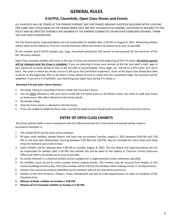## **GENERAL RULES**

## **4-H/FFA, Cloverkids, Open Class Shows and Events**

ALL VEHICHLES WILL BE TOWED AT THE OWNERS EXPENSE THAT ARE PARKED AROUND LIVESTOCK BUILDINGS AFTER 10:00 AM, FIRE LANES AND OTHER AREAS OF THE FAIRGOURNDS THAT ARE NOT DESIGNATED AS PARKING. QUESTIONS IN REGARDS TO THIS POLICY MAY BE DIRECTED TOWARDS ANY MEMBER OF THE PARKING COMMITTEE OR ANOTHER FAIRBOARD MEMBER. THANK YOU FOR YOUR COOPERATION

The Fair Board and/or Superintendents are not responsible for exhibits after 5:30 PM on August 8, 2021. Remaining exhibits will be taken to the Dakota or Thurston County Extension office and need to be picked up as soon as possible.

All live animals and 4-H/FFA (except cats, dogs, household pets/birds) will remain on the grounds for the duration of the fair. No early releases.

Open Class Livestock exhibits will come in the day of show and entered at the beginning of the 4-H show. **All animal species will be released once the show is complete.** If you are planning to leave your animals at the fair and need a stall, cage or pen, please let us know ahead of time so we are able to accommodate. Extra cages, etc. will be on a first come, first serve basis. The order in which the shows are run is left up to the Committee Supervisor. Some of the Open class shows/Pee Wee could be at the beginning. Plan to be there ½ hour ahead of time to check into the committee table. No livestock will be weighted. If you are a 4-H exhibitor, you may bring your open class during 4-H check-in.

### **Attention 4-H and other Horse Owners:**

- 1. No riding, sitting or mounting of horses inside the horse barn arena.
- 2. You are ONLY allowed to ride your horse inside the 4-H horse arena or the Rodeo arena. You need to walk your horse to those areas. (No riders allowed on the horses back).
- 3. No double riding.
- 4. Only the horse owner is allowed to ride the horse.
- 5. If you are unable to abide by these rules, you will be asked to leave the grounds and forfeit your premium money.

## **ENTRY OF OPEN CLASS EXHIBITS**

All entries will be made in strict compliance with the official premium list in this book and awards will be made in accordance herewith in.

- 1. The exhibit MUST be the work of the exhibitor.
- 2. All open static exhibits, except flowers and food may be entered Tuesday, August 3, 2021 between 6:00 PM and 7:00 PM or not later than Wednesday morning between 9:00 AM and 1:00 PM. See fair schedule for entry times and show times for livestock and small animals.
- 3. Static Exhibits will be released after 3:00 PM on Sunday, August 8, 2021. The Fair Board and Superintendents will not be responsible for exhibits after 5:30 PM. Any exhibits left will be taken to the Dakota or Thurston County Extension Office and need to be picked up as soon as possible.
- 4. An article entered in a collective exhibit cannot compete for a single premium unless otherwise specified.
- 5. An exhibitor must secure an entry number before making entries. The number may be secured from helpers in the various buildings on entry day. The same number will be used by the exhibitor when making entries in all departments.
- 6. Articles that cannot be properly identified by the exhibitor will not be entered for premiums.
- 7. Exhibits in the Farm Products, Flowers, Foods, Needlework and Arts & Crafts Departments are open to residents of the Siouxland Area.
- 8. **Release of Static exhibits on Sunday is 3:00 PM**
- 9. **Release of 4-H Livestock exhibits on Sunday is 5:30 PM.**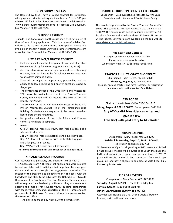#### **HOME SHOW DISPLAYS**

The Home Show MUST have a signed contract for exhibitors, with payment prior to setting up their booth. Cost is \$35 per table or \$50 for 2 tables. Forms are available on the fair website [www.dakotathurstonfaironline.com](http://www.dakotathurstonfaironline.com/) or contact Lisa Bousquet, Fair Manager, at 402-494-5522.

#### **OUTDOOR EXHIBITS**

Outside Food Concessions booths must pay a \$100 set up fee at time of submitting application. This is a non-refundable fee. Failure to do so will prevent future participation. Forms are available on the fair websit[e www.dakotathurstonfaironline.com](http://www.dakotathurstonfaironline.com/) [or](http://www.dakotathurstonfaironline.com/) contact Lisa Bousquet, Fair Manager, at 402-494-5522.

#### **LITTLE PRINCE/PRINCESS CONTEST**

- 1. Each contestant must be five years old and not older than seven years old by fair week (August 1-August 8, 2021)
- 2. Girl contestants must wear an appropriate dress, either long or short, does not have to be formal. Boy contestants must wear a dress shirt and slacks.
- 3. They will be judged on appearance, personality, and the ability to follow directions and answer questions asked by the judges.
- 4. The contestants chosen as the Little Prince and Princess for 2021 must be available to ride in the Dakota-Thurston County Fair Parade and next year for the Dakota-Thurston County Fair Parade.
- 5. The crowning of the Little Prince and Princess will be at 7:00 PM on Wednesday, August 4th at the Fairgrounds Expo Building. Contestants are requested to be present one-half hour before the starting time.
- 6. No previous winners of the Little Prince and Princess contest are eligible to compete.
- 7. Awards:

Girl: 1<sup>st</sup> Place will receive a crown, sash, Kids day pass and a fair pass to all events.

Girl: 2<sup>nd</sup> Place will receive a necklace and a Kids Day pass. Boy: 1<sup>st</sup> Place will receive a prize, sash, Kids Day pass, and a fair pass to all events.

Boy: 2<sup>nd</sup> Place will a prize and a Kids Day pass.

**For more information call Lisa Bousquet at 402-494-5522.** 

#### **4-H AMBASSADOR PROGRAM**

Contact Person: Angela Abts, UNL Extension 402-987-2140 4-H Ambassadors are 4-H teens that applied and were selected to lead and take part in activities that help them become good citizens and leaders through civic engagement education. The mission of the program is to empower teen 4-H leaders with the knowledge and skills to be advocates for Nebraska 4-H &Youth Development in Dakota and Thurston Counties. This experience will strengthen their leadership abilities so they can serve as a positive role models for younger youth; building partnerships with teens, volunteers, and supporters of the 4-H program; and promote 4-H in Nebraska. For more information, please contact the extension office.

Applications are due by March 1 of the current year.

#### **DAKOTA-THURSTON COUNTY FAIR PARADE**

Chairperson – Lisa Bousquet, Fair Manager 402-494-5522 Parade Marshalls: Connie and Dan Wichman Family

The parade is sponsored by the Dakota-Thurston County Fair Board. The parade is Thursday, August 5, 2021 and starts at 6:00 PM The parade route begins in South Sioux City at 10th & Dakota Avenue and travels south to 28th Street. No entries will be judged. Entry forms are available on the Fair website [www.dakotathurstonfaironline.com](http://www.dakotathurstonfaironline.com/)[.](http://www.dakotathurstonfaironline.com/)

#### **Red Star Yeast Contest**

Chairperson – Mary Paeper 402-922-1299 Please enter your yeast bread on Wednesday, August 4, 2021 in the Foods Area.

#### **TRACTOR PULL "TRI-STATE SHOOTOUT"**

Chairperson – Sam Heikes, 712-389-2070 **Thursday, August 5, 2021 – 7:00 PM** Includes antique tractors and farm tractors. For registration and more information contact Sam Heikes.

#### **ATV RODEO**

Chairperson – Robert McFee 712-204-1316 **Friday, August 6, 2021 6:00 PM** Gates open at 5:00 PM **Any ATV or dirt bike rider can enter and give it a try. Free BBQ with paid entry to ATV Rodeo**

#### **KIDS PEDAL PULL**

Chairperson – Mary Paeper 402-922-1299 **Pedal Pull is Saturday, August 7, 2021 11:00 AM** Registration begins at 10:30 AM

No Fee to enter. Open to all youth ages 4-12. Heats are divided by age groups. Medals will be awarded to youth that pulls the farthest distance in each age group - girls and boys. 1st, 2nd, 3rd place will receive a medal. Top contestant from each age group, girl and boy is eligible to compete at State Pedal Pull, Runner up is alternate.

#### **KIDS DAY EVENTS**

Chairperson – Mary Paeper 402-922-1299 **Saturday, August 7, 2021** \$5.00 for all day fun. **Carnival Games - 1:00 PM to 3:00 PM Other Fun Activities: 1:00 PM to 5:00 PM**

Activities will include Zip Line, Drone Duels, 3 bouncy houses, toxic meltdown and more.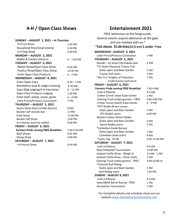## **4-H / Open Class Shows**

### **SUNDAY – AUGUST 1, 2021 – In Thurston**

| 4-H Cat Show                                | 1:30 PM       |
|---------------------------------------------|---------------|
| Household Pets/Small Animal                 | 3:30 PM       |
| 4-H Dog Show                                | 5:00 PM       |
| MONDAY - AUGUST 2, 2021                     |               |
| Rabbit & Poultry check-in                   | $6 - 7:30$ PM |
| TUESDAY - AUGUST 3, 2021                    |               |
| Rabbit Show/Open Class Show                 | 8:30 AM       |
| Poultry Show/Open Class Show                | 12:30 PM      |
| <b>Enter Open Class Products</b>            | $6 - 7$ PM    |
| WEDNESDAY - AUGUST 4, 2021                  |               |
| <b>Enter Open Class</b>                     | $8:30 - 1$ PM |
| Mandatory Supt & Judges meeting             | 8:30 AM       |
| Expo Bldg Judging/4-H Interviews            | $9 - 12$ PM   |
| Open Class Products Judging                 | 1:30 PM       |
| Enter beef, sheep, swine, goats             | $6 - 8$ PM    |
| Little Prince/Princess Coronation           | 7 PM          |
| THURSDAY - AUGUST 5, 2021                   |               |
| Swine Show (Farm Credit-donuts)             | 8 AM          |
| <b>Bucket Calf records due</b>              | <b>12 PM</b>  |
| Goat Show                                   | 11:00 PM      |
| <b>Bucket Calf Show</b>                     | 2:00 PM       |
| 4-H Horses must be stalled                  | 8:00 PM       |
| FRIDAY - AUGUST 6, 2021                     |               |
| <b>Farmers Pride serving FREE Breakfast</b> | 7:30-9:30 AM  |
| <b>Beef Shows</b>                           | 8:30 AM       |
| Sheep Show                                  | 4:00 PM       |
| SATURDAY - AUGUST 7, 2021                   |               |
| 4-H Horse Show                              | 9:30 AM       |

## **Entertainment 2021**

FREE admission to the fairgrounds. Several events require admission at the gate and are marked with an \* **\*\$10-Adults \$5.00-Kids(12-6 yrs) 5 under- Free**

| WEDNESDAY-AUGUST 4, 2021                    |               |
|---------------------------------------------|---------------|
| Little Prince/Princess Coronation           | 7 PM          |
| THURSDAY - AUGUST 5, 2021                   |               |
| Parade - So Sioux City-Dakota Ave           | 6 PM          |
| *Tri-State Shootout Tractor Pull            |               |
| Gates open and Beer Garden                  | 5 PM          |
| <b>Tractor Pull starts</b>                  | 7 PM          |
| "Nut Fry" Knights of Columbus               | 7 PM          |
| inside tractor pull event                   |               |
| FRIDAY - AUGUST 6, 2021                     |               |
| <b>Farmers Pride serving FREE Breakfast</b> | 7:30-9 AM     |
| Junk-a-Palooza                              | 9-9 AM        |
| Critter Corner show-Expo Center             | 2 PM          |
| Gaming Truck (video games) - FREE           | 4:00-9:00 PM  |
| Critter Corner booth-Expo Center            | $6 - 9$ PM    |
| *ATV Rodeo & Beer Garden                    |               |
| Gates open and Beer Garden                  | 5 PM          |
| ATV Rodeo starts                            | 6:00 PM       |
| Western States Ranch Rodeo                  |               |
| Gates open and Beer Garden                  | 6 PM          |
| <b>Ranch Rodeo starts</b>                   | 7 PM          |
| *Comedian Gayle Becwar                      |               |
| Gates open and Beer Garden                  | 7 PM          |
| Comedian show starts                        | 8 PM          |
| *Laser Tag - \$5.00                         | 9:30-11:30 PM |
| SATURDAY - AUGUST 7, 2021                   |               |
| Junk-a-Palooza                              | 9-9 AM        |
| Mud Volleyball Tournament                   | 12:00 PM      |
| Jackpot Cattle Show - Weigh In              | 11 AM - 1 PM  |
| Jackpot Cattle Show - Show starts           | 2 PM          |
| Gaming Truck (video games) - FREE           | 4:00-10:00 PM |
| *Extreme Bull Riding                        |               |
| Gates open and Beer Garden                  | 5 PM          |
| <b>Bull Riding starts</b>                   | 7:30 PM       |
| SUNDAY - AUGUST 8, 2021                     |               |
| Junk-a-Palooza                              | 9-9 AM        |
| Iowa NBHA Barrel Racing - FREE              | 1 PM          |
| Horseshoe Tournament                        | 1 PM          |

For Complete details and schedule check out our website [www.dakotathurstonfaironline.com](http://www.dakotathurstonfaironline.com/)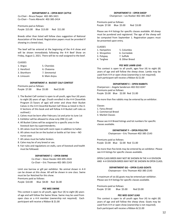#### **DEPARTMENT A – OPEN BEEF CATTLE**

Co-Chair – Bruce Paeper 402-385-3421 Co-Chair – Travis Albrecht 402-385-2414

Premiums pad as follows: Purple \$15.00 Blue \$13.00 Red \$11.00

Breeds other than listed will follow class suggestion of National Association of the breed. Registration papers must be provided if showing in a breed class.

The beef will be entered at the beginning of the 4-H show and will be shown immediately following the 4-H Beef Show on Friday, August 2, 2021. There will be no stall assigned to the beef.

#### CLASSES

| 1. Angus     | 5. Charolais  |
|--------------|---------------|
| 2. Hereford  | 6. Chaianna   |
| 3. Shorthorn | 7. Simmental  |
| 4. Limousin  | 8. Main Anjou |

#### **DEPARTMENT A - BUCKET CALF CONTEST**

| Premiums pad as follows: |             |            |
|--------------------------|-------------|------------|
| Purple \$7.00            | Blue \$5.00 | Red \$3.00 |

- 1. The Bucket Calf contest is open to all youth, ages four (4) years to eight (8) years of age. (Youth enrolled in the 4-H CloverKids Program (5-7years of age) will enter and show their Bucket Calves in the 4-H CloverKid Bucket Calf Show as listed in the 4- H Sections of this book and will follow 4-H Bucket calf rules as outlined.)
- 2. Calves must be born after February 1st and prior to June 1st
- 3. Exhibitor will be allowed to show only ONE (1) calf.
- 4. All Bucket Calves will be assigned to a specific area in the livestock barn by superintendents.
- 5. All calves must be tied with neck ropes in addition to halter.
- 6. All calves must be on the bucket or bottle at Fair time NO nurse cows
- 7. All calves must be halter broken.
- 8. Calve may be of any breed or sex.
- 9. Fair rules and regulations on stalls, care of livestock and health must be followed.

#### **DEPARTMENT C – OPEN SWINE**

Co-Chair – Steve Hassler 402-695-2424 Co-Chair – Eric Thomsen 402-385-2143

Limit one barrow or gilt per exhibitor. No animal shown in 4-H can be shown at this show. All will be shown in one class. Swine must be Ear Notched for this show.

Premiums paid as follows:

Purple \$10.00 Blue \$8.00 Red \$6.00

#### **PEE WEE SWINE**

This contest is open to all youth, ages four (4) to eight (8) years of age and will follow the Swine Show. Swine may be used from open class or a 4-H member (ownership not required). Each participant will receive a Ribbon & \$1.00

#### **DEPARTMENT D – OPEN SHEEP**

Chairperson – Les Roeber 402-385-2667

Premiums paid as follows: Purple \$7.00 Blue \$5.00 Red \$3.00

Please see 4-H listings for specific classes available. All sheep must be purebred and registered. The age of the sheep will be computed from September 1. Registration papers must be presented upon entry.

CLASSES

- 1. Hampshire 5. Columbia 2. Shropshire 6. Corriedale 3. Polypay 7. Suffolk 4. Targhee 8. Other Breed
	-

#### **PEE WEE LAMB LEAD**

This contest is open to all youth, ages four (4) to eight (8) years of age and will follow the sheep show. Lambs may be used from 4-H or open show (ownership is not required). Each participant will receive a Ribbon & \$1.00

#### **DEPARTMENT E – OPEN RABBITS**

Chairperson – Angela Sanderson 402-922-0247 Premiums paid as follows: Purple \$3.00 Blue \$2.00 Red \$1.00

No more than five rabbits may be entered by an exhibitor.

Classes

- 1. Fancy Breed
- 2. Commercial Breed
- 3. Market Classes

Please see 4-H Breed listings and lot numbers for specific classes available.

#### **DEPARTMENT F – OPEN POULTRY**

Chairperson – Eric Thomsen 402-385-2143

Premiums paid as follows: Purple \$3.00 Blue \$2.00 Red \$1.00

No more than five birds may be entered by an exhibitor. Please see 4-H listings for specific classes available.

OPEN CLASS BIRDS MAY NOT BE SHOWN IN THE 4-H DIVISION AND 4-H DIVISION BIRDS MAY NOT BE SHOWN IN OPEN CLASS.

#### **DEPARTMENT GG – OPEN CLASS GOATS**

Chairperson – Eric Thomsen 402-385-2143

A maximum of six (6) goats may be entered per exhibitor. Please see 4-H listings for specific classes available.

Premiums paid as follows: Purple \$7.00 Blue \$5.00 Red \$3.00

#### **PEE WEE GOAT LEAD**

This contest is open to all youth ages four (4) to eight (8) years of age and will follow the sheep show. Goats may be used from 4-H or open show (ownership is not required). Each participant will receive a Ribbon & \$1.00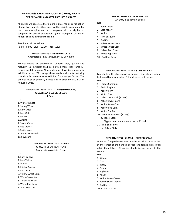#### **OPEN CLASS FARM PRODUCTS, FLOWERS, FOODS NEEDLEWORK AND ARTS, PICTURES & CRAFTS**

All entries will receive either a purple, blue, red or participation ribbon. Every purple ribbon entry will be eligible to compete for the class champion and all champions will be eligible to complete for overall department grand champion. Champion ribbons shall be awarded the same.

Premiums paid as follows: Purple: \$4.00 Blue: \$3.00 Red \$2:00

#### **DEPARTMENT G – FARM PRODUCTS**

Chairperson – Ray Schleusner 402-987-3780

Exhibits should be selected for uniform type, quality and maturity. No exhibitor shall be allowed more than three (3) entries per lot number. All exhibits must have been grown by exhibitor during 2021 except those seeds and plants maturing later than Fair Week may be exhibited from last year's crop. The exhibits must be properly named and in place by 1:00 PM on August 4, 2021.

#### **DEPARTMENT G – CLASS 1 - THRESHED GRAINS, GRASSES AND LEGUME SEEDS**  (4 Quarts)

LOT

- 1. Winter Wheat
- 2. Spring Wheat
- 3. Early Oats
- 4. Late Oats
- 5. Barley
- 6. Alfalfa
- 7. Sweet Clover
- 8. Red Clover
- 9. Switchgrass
- 10.Other Perennials
- 11. Soybeans

#### **DEPARTMENT G – CLASS 2 – CORN**

(GROWTH OF CURRENT YEAR)

An entry is to contain 10 ears

LOT

- 1. Early Yellow
- 2. Late Yellow
- 3. White
- 4. Flint or Squaw
- 5. Red Corn
- 6. Yellow Sweet Corn
- 7. White Sweet Corn
- 8. Yellow Pop Corn
- 9. White Pop Corn
- 10. Red Pop Corn

### **DEPARTMENT G – CLASS 3 – CORN**

An Entry is to contain 10 ears

LOT

- 1. Early Yellow
- 2. Late Yellow
- 3. White
- 4. Flint of Squaw
- 5. Red Corn
- 6. Yellow Sweet Corn
- 7. White Sweet Corn
- 8. Yellow Pop Corn
- 9. White Pop Corn
- 10. Red Pop Corn

#### **DEPARTMENT G – CLASS 4 – STALK DISPLAY**

Four stalks with foliage make up an entry. Ears of corn should be husked back for display. Cut stalks even with ground. LOT

- 1. Forage Sorghum
- 2. Grain Sorghum
- 3. Yellow Corn
- 4. White Corn
- 5. Tallest Corn Stalk (1 Only)
- 6. Yellow Sweet Corn
- 7. White Sweet Corn
- 8. Yellow Pop Corn
- 9. White Pop Corn
- 10. Tame Sun Flowers (1 Only)
	- a. Tallest Stalk
	- b. Biggest Head and no more than a 3" stalk
- 11. Wild Sun Flower
	- a. Tallest Stalk

#### **DEPARTMENT G – CLASS 6 – SHEAF DISPLAY**

Grain and forage sheaves must not be less than three inches at the center of the banded portion and forage stalks must retain their foliage. All entries should be cut flush with the ground.

- LOT
- 1. Wheat
- 2. Oats
- 3. Barley
- 4. Brome
- 5. Soybeans
- 6. Alfalfa
- 7. White Sweet Clover
- 8. Yellow Sweet Clover
- 9. Red Clover
- 10.Native Grasses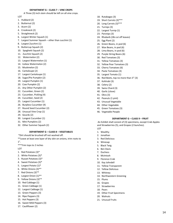#### **DEPARTMENT G – CLASS 7 – VINE CROPS**

A Three (3) inch stem should be left on all vine crops.

#### LOT

- 1. Hubbard (2)
- 2. Butternut (2)
- 3. Acorn (2)
- 4. Crookneck (2)
- 5. Straightneck (2)
- 6. Largest Winter Squash (1)
- 7. Largest Summer Squash other than zucchini (1)
- 8. Largest Zucchini (1)
- 9. Buttercup Squash (2)
- 10. Spaghetti Squash (2)
- 11. Zucchini Squash (2)
- 12. Watermelon (2)
- 13. Largest Watermelon (1)
- 14. Icebox Watermelon (2)
- 15. Muskmelon (2)
- 16. Cantaloupe (2)
- 17. Largest Cantaloupe (1)
- 18. Sugar/Pie Pumpkin (2)
- 19. Largest Pumpkin (1)
- 20. Cow Pumpkin (2)
- 21. Any Other Pumpkin (2)
- 22. Cucumber, Green (2)
- 23. Cucumber, Pickling (4)
- 24. Cucumber, Seed (2)
- 25. Largest Cucumber (1)
- 26. Burpless Cucumber (4)
- 27. Round Seed Cucumber (2)
- 28. Unusual Vine Crop (1)
- 29. Gourds (2)
- 30. Longest Cucumber (1)
- 31. Mini Pumpkins (2)
- 32. Other Summer Squash (2)

#### **DEPARTMENT G – CLASS 8 – VEGETABLES**

- \*Dirt should be brushed off not washed off.
- \*\*Leave at least one layer of dry skin on onions, trim roots to 1".
- \*\*\*Trim tops to 2 inches

LOT

- 1. Red Potatoes (3)\*
- 2. White Potatoes (3)\*
- 3. Russet Potatoes (3)\*
- 4. Sweet Potatoes (3)\*
- 5. Largest Potato (1)\*
- 6. White Onions (3)\*\*
- 7. Red Onions (3)\*\*
- 8. Largest Onion (1)\*\*
- 9. Yellow Onions (3)\*\*
- 10. Red Cabbage (1)
- 11. Green Cabbage (1)
- 12. Largest Cabbage (1)
- 13. Green Peppers (3)
- 14. Ripe Peppers (3)
- 15. Hot Peppers (3)
- 16. Sweet Mild Peppers (3)
- 17. Cauliflower (2)
- 18. Rutabagas (3)
- 19. Short Carrots (3)\*\*\*
- 20. Long Carrots (3)\*\*\*
- 21. Turnips (3)
- 22. Largest Turnip (1)
- 23. Parsnips (3)
- 24. Rhubarb (2& cut off leaves)
- 25. Egg Plant (2)
- 26. Green Beans, in pod (6)
- 27. Wax Beans, in pod (6)
- 28. Lima Beans, in pod (6)
- 29. Purple String Beans (6)
- 30. Red Tomatoes (3)
- 31. Yellow Tomatoes (3)
- 32. Yellow Pear Tomatoes (3)
- 33. Cherry Tomatoes (6)
- 34. Paste Tomatoes (3)
- 35. Largest Tomato (1)
- 36. Red Beets, top no more than 3" (3)
- 37. Kohlrabi (3)
- 38. Celery (2)
- 39. Swiss Chard (3)
- 40. Garlic (clove)
- 41. Okra (3)
- 42. Peanuts (1 pint)
- 43. Unusual Vegetable
- 44. Other Vegetable
- 45. Green Tomatoes (3)
- 46. Vegetable People

#### **DEPARTMENT G – CLASS 9 – FRUIT**

An Exhibit shall consist of (3) specimens, except Crab Apples and Strawberries (5), and Grapes (2 bunches).

14

- LOT
- 1. Wealthy
- 2. Jonathan
- 3. Red Delicious
- 4. Winesap
- 5. Black Twig
- 6. Ben Davis
- 7. Duchess
- 8. McIntosh

13. Whitney

15. Plums 16. Grapes 17. Strawberries 18. Pears

20. Walnuts 21. Unusual Fruits

- 9. Florence Crab
- 10. Kay Johndell
- 11. Yellow Transparent 12. Yellow Delicious

14. Northwestern Greening

19. Other Fruit Specimens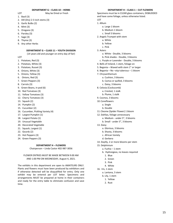#### **DEPARTMENT G – CLASS 10 – HERBS**

LOT May be Dried or Fresh

- 1. Basil (3)
- 2. Dill (Dry) 2-3 inch stems (3)
- 3. Garlic Bulbs (2)
- 4. Mint (3)
- 5. Oregano (3)
- 6. Parsley (3)
- 7. Sage (3)
- 8. Thyme (3)
- 9. Any other Herbs
	- **DEPARTMENT G – CLASS 11 – YOUTH DIVISION**
	- (14 years old and younger on entry day of fair)
- LOT
- 1. Potatoes, Red (3)
- 2. Potatoes, White (3)
- 3. Potatoes, Russet (3)
- 4. Onions, White (3)
- 5. Onions, Yellow (3)
- 6. Onions, Red (3)
- 7. Green Peppers (3)
- 8. Carrots (3)
- 9. Green Beans, in pod (6)
- 10. Red Tomatoes (3)
- 11. Yellow Tomatoes (3)
- 12. Cherry Tomatoes (3)
- 13. Squash (2)
- 14. Pumpkin (2)
- 15. Cucumber (2)
- 16. Cucumber, Pickling Variety (4)
- 17. Largest Pumpkin (1)
- 18. Largest Potato (1)
- 19. Unusual Vegetable
- 20. Decorated Vegetable
- 21. Squash, Largest (1)
- 22. Gourds (2)
- 23. Hot Peppers (3)
- 24. Green Peppers (3)

#### **DEPARTMENT H – FLOWERS**

Chairperson – Linda Castor 402-987-3056

#### FLOWER ENTRIES MUST BE MADE BETWEEN 9:00 AM AND 1:00 PM ON WEDNESDAY, August 4, 2021.

The exhibits in this department are open to AMATEURS ONLY. Plants and flowers must have been produced by exhibitors and if otherwise detected will be disqualified for entry. Only one exhibit may be entered per LOT letter. Specimens and arrangements MUST be prepared at home in their containers and ready for the entry table to eliminate confusion and save time.

#### **DEPARTMENT H – CLASS 1 – CUT FLOWERS**

Specimens must be in CLEAR glass containers, DISBUDDED and have some foliage, unless otherwise listed. LOT

### 1. Allium

- a. Large 1 bloom
	- b. Medium 1 bloom
- c. Small 3 blooms
- 2. Angels Trumpet with stem
	- a. White
	- b. Yellow
	- c. Pink
- 3. Asters
	- a. White Double, 3 blooms
	- b. Pink shades Double, 3 blooms
	- c. Purple or Lavender Double, 3 blooms
- 4. Bells of Ireland, 1 stem, foliage on
- 5. Begonia Waxed with stem 1" or larger
- 6. Begonia No –stip tuberous 1 bloom
- 7. Chrysanthemum
	- a. Cushion, 3 blooms
	- b. Cactus or quilled, 3 blooms
	- c. Daisy, 3 blooms
- 8. Celosia (Cockscomb)
	- a. Crested, 1 stalk
	- b. Plume, 1 stalk
- 9. Cosmos, 3 blooms
- 10. Coneflowers
	- a. Single
	- b. Double
- 11. Cleome (Spider Flower) 1 bloom
- 12. Dahlias, foliage unnecessary
	- a. Medium under 5", 3 blooms
	- b. Small under 3", 3 blooms
- 13. Daisy
	- a. Glorious, 3 blooms
	- b. Shasta, 3 blooms
	- c. African Variety
	- d. Gerbera
- 14. Daylily, 2 or more blooms per stem
- 15. Delphinium
	- a. Fushia 1 stem
	- b. Hydrangeas, no leaves required
	- 1. Blue
	- 2. Green
	- 3. Pink
	- 4. White
- 16. Iris, 1 stem
	- a. Lantana, 3 stem
	- b. Lily, 1 stem
	- 1. Yellow
	- 2. Rust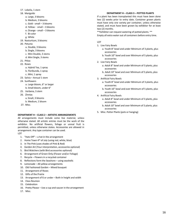- 17. Lobelia, 1 stem
- 18. Marigolds
	- a. Large, 3 blooms
	- b. Medium, 3 blooms
	- c. Gold small 3 blooms d. Yellow - small – 3 blooms
	- e. Orange small 3 blooms
	- f. Bi-color
	- g. White
- 19. Nasturtium, 3 blooms
- 20. Petunia
	- a. Double, 3 blooms
	- b. Single, 3 blooms
	- c. Mini Double, 3 stems
	- d. Mini Single, 3 stems
- 21. Phlox
- 22. Roses
	- a. Hybrid Tea, 1 spray
	- b. Floribunda, 1 spray
	- c. Mini, 1 spray
- 23. Salvia Annual 1 stem
- 24. Sunflowers
	- a. Large bloom, 6" or larger
	- b. Small bloom, under 6"
- 25. Verbena, 3 stem
- 26. Zinnias
	- a. Small, 3 blooms
	- b. Medium, 1 bloom
- 27. Misc.

#### **DEPARTMENT H – CLASS 2 – ARTISTIC ARRANGEMENTS**

All arrangements must include some live material, unless otherwise stated. All artistic entries must be the work of the exhibitor. No artificial flowers, foliage or unreal fruit is permitted, unless otherwise states. Accessories are allowed in arrangement. Any type container can be used. LOT

- 1. "Hats Off" a hat in the arrangement
- 2. Home Town  $4<sup>th</sup>$  of July (using red, white, blue)
- 3. In The Pink (uses shades of Pink & Red)
- 4. Garden Art (Your interpretation, accessories optional)
- 5. Bird Watchers (with Bird accessories optional)
- 6. Arrangement of Green Only (Flower and/or Foliage)
- 7. Recycle Flowers in a recycled container
- 8. Reflections form the Seashore using seashells
- 9. Lemonade All yellow arrangements
- 10. Old Fashioned Garden Mixed bouquet
- 11. Arrangement of Roses
- 12. Gifts of the Prairie
- 13. Arrangement of 6 or under Both in height and width
- 14. Class Reunion
- 15. Celebration
- 16. Pretty Please Use a cup and saucer in the arrangement
- 17. Misc.

#### **DEPARTMENT H – CLASS 3 – POTTED PLANTS**

If a plant has been transplanted this must have been done two (2) weeks prior to entry date. Container grown plants must have only one variety per container, unless otherwise stated, and must have been grown by exhibitor for at least two (2) months.

\*\*Exhibitor can request watering of potted plants. \*\*

Empty all extra water out of containers before entry time.

#### LOT

- 1. Live Fairy Bowls
	- a. Youth 8" bowl and under Minimum of 3 plants, plus accessories
	- b. Youth 10" bowl and over Minimum of 5 plants, plus accessories
- 2. Live Fairy Bowls
	- a. Adult 8" bowl and under Minimum of 3 plants, plus accessories
	- b. Adult 10" bowl and over Minimum of 5 plants, plus accessories
- 3. Artificial Fairy Bowls
	- a. Youth 8" bowl and under Minimum of 3 plants, plus accessories
	- b. Youth 10" bowl and over Minimum of 5 plants, plus accessories
- 4. Artificial Fairy Bowls
	- a. Adult 8" bowl and under Minimum of 3 plants, plus accessories
	- b. Adult 10" bowl and over Minimum of 5 plants, plus accessories
- 5. Misc. Potter Plants (pots or hanging)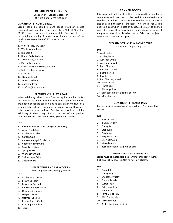#### **DEPARTMENT I – FOODS**

Chairperson – Janean Georgeson 402-698-2592 or 712-301-7666

#### **DEPARTMENT I – CLASS 1 BREAD**

Bread should be baked in pans about 4"x5"x10" in size (standard loaf pan). Enter on paper plate. At least ¾ of loaf MUST be entered/displayed on paper plate. One thick slice will be kept for exhibiting. Exhibitor may pick up the rest of the product between 6:00-8:00 PM on entry day.

- LOT
- 1. White Bread, any yeast
- 2. Whole Wheat Bread
- 3. Rye Bread
- 4. Dinner Rolls, ½ dozen
- 5. Sweet Rolls, ½ dozen
- 6. Pan Rolls, ½ dozen
- 7. Baking Powder Biscuits, ½ dozen
- 8. Coffee Cake, any yeast
- 9. Kolaches
- 10. Banana Bread
- 11. Bread machine
- 12. Zucchini Bread
- 13. Muffins (4 on a plate)

#### **DEPARTMENT I – CLASS 2 CAKE**

When exhibiting cakes do not frost (exception number 1). Do not wrap baked goods while hot. Label each type of cake. Bake angel food or sponge cakes in a tube pan. Enter one layer of a 9" pan. Enter all baked products on paper plates. Decorated cakes may use a paper form. One big piece will be kept for exhibiting. Exhibitor may pick up the rest of the product between 6:00-8:00 PM on entry day. (Exception number 1).

#### LOT

- 1. Birthday or Decorated Cake (may use form)
- 2. Angel Food Cake
- 3. Applesauce Cake
- 4. Chiffon Cake
- 5. Chocolate Angel Food cake
- 6. Chocolate Layer Cake
- 7. Spice Layer Cake
- 8. Sponge Cake
- 9. White Layer Cake
- 10. Yellow Layer Cake
- 11. Zucchini Cake

#### **DEPARTMENT 1 – CLASS 3 COOKIES**

Enter on paper plate, four (4) cookies

**LOT** 

- 1. Applesauce Cookies
- 2. Brownies, Plain
- 3. Brownies, Frosted
- 4. Chocolate Chip Cookies
- 5. Decorated Cookies
- 6. Ginger Cookies
- 7. Oatmeal Cookies
- 8. Peanut Butter Cookies
- 9. Plain Sugar Cookies
- 10. Spritz

#### **CANNED FOODS**

It is suggested that rings be left on the jars as they sometimes come loose and that clear jars be used. In the collection use standard or uniform size. Uniform or standard size jars should also be used in the jelly or jam classes. No canned food will be opened except when in case of doubt. Jellies may be opened and cut to show their consistency. Labels giving the name of the product should be placed on the jar. Salad dressing jars or similar type cannot be accepted.

#### **DEPARTMENT I – CLASS 4 CANNED FRUIT**

Entries must be pint or quart

LOT

- 1. Apples, sliced
- 2. Apples, halved
- 3. Apricots, whole
- 4. Apricots, halved
- 5. Bing, Cherries
- 6. Peaches, halved
- 7. Pears, halved
- 8. Raspberries
- 9. Red Cherries, pitted
- 10. Plums, blue
- 11. Plums, red
- 12. Plums, yellow
- 13. Best collection of six pints of fruit
- 14. Miscellaneous

#### **DEPARTMENT I – CLASS 5 JAMS**

Entries must be in standard size containers. Fruit should be crushed.

#### LOT

- 1. Apricot Jam
- 2. Blackberry Jam
- 3. Cherry Jam
- 4. Grape Jam
- 5. Peach Jam
- 6. Raspberry Jam
- 7. Strawberry Jam
- 8. Miscellaneous
- 9. Best collection of six pints of jams

#### **DEPARTMENT I – CLASS 6 JELLIES**

Jellies must be in standard size canning jars about 4 inches high and tightly covered. Use no flat, low glasses.

#### LOT

- 1. Apple Jelly
- 2. Cherry Jelly
- 3. Chokecherry Jelly
- 4. Crabapple Jelly
- 5. Currant Jelly
- 6. Elderberry Jelly
- 7. Plum Jelly
- 8. Tame Grape Jelly
- 9. Wild Grape Jelly
- 10. Miscellaneous
- 11. Best collection of six jellies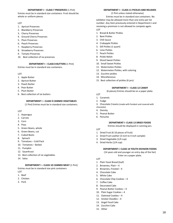#### **DEPARTMENT I – CLASS 7 PRESERVES** (1 Pint)

Entries must be in standard size containers. Fruit should be whole or uniform pieces.

#### LOT

- 1. Apricot Preserves
- 2. Blackberry Preserves
- 3. Cherry Preserves
- 4. Ground Cherry Preserves
- 5. Plum Preserves
- 6. Peach Preserves
- 7. Raspberry Preserves
- 8. Strawberry Preserves
- 9. Tomato Preserves
- 10. Best collection of six preserves

#### **DEPARTMENT I – CLASS 8 BUTTERS** (1 Pint)

Entries must be in standard size containers.

#### LOT

- 1. Apple Butter
- 2. Apricot Butter
- 3. Peach Butter
- 4. Pear Butter
- 5. Plum Butter
- 6. Best collection of six butters

#### **DEPARTMENT I – CLASS 9 CANNED VEGETABLES**

(1 Pint) Entries must be in standard size containers.

#### LOT

- 1. Asparagus
- 2. Carrots
- 3. Corn
- 4. Peas
- 5. Green Beans, whole
- 6. Green Beans, cut
- 7. Cubed Beets
- 8. Spinach
- 9. Tomatoes Cold Pack
- 10. Tomatoes Boiled
- 11. Pumpkin
- 12. Sauerkraut
- 13. Best collection of six vegetables
- 14. Salsa

#### **DEPARTMENT I – CLASS 10 CANNED MEAT** (1 Pint)

Entries must be in standard size pint containers LOT

- 1. Beef
- 2. Chicken
- 3. Pork

#### **DEPARTMENT I – CLASS 11 PICKLES AND RELISHES**

(1 Pint unless stated otherwise)

 Entries must be in standard size containers. No exhibitor may be allowed more than one entry per lot number. Any item previously entered in Department J and receiving a premium is not allowed to compete again. LOT

- 1. Bread & Butter Pickles
- 2. Beet Pickles
- 3. Chili Sauce
- 4. Crabapple Pickles
- 5. Dill Pickles (1 quart)
- 6. Lime Pickles
- 7. Peach Pickles
- 8. Pickle Relish
- 9. Sliced Sweet Pickles
- 10. Small Sweet Pickles
- 11. Watermelon Pickles
- 12. Watermelon Pickles, with coloring
- 13. Zucchini pickles
- 14. Miscellaneous
- 15. Best collection of pickles (6 jars)

#### **DEPARTMENT I – CLASS 12 CANDY**

(6 pieces) Entries should be on a paper plate.

LOT

- 1. Caramels
- 2. Fudge
- 3. Chocolate Creams (made with fondant and covered with
- chocolate)
- 4. Divinity
- 5. Peanut Butter
- 6. Penuche

#### **DEPARTMENT I- CLASS 13 DRIED FOODS**

Entries should be displayed in canning jars.

- LOT
- 1. Dried Fruit (6-10 pieces of fruit)
- 2. Dried Fruit Leather (3 inch to 4 inch sample)
- 3. Dried Vegetable (1/4 cup)
- 4. Dried Herbs (1/4 cup)

#### **DEPARTMENT I- CLASS 14 YOUTH DIVISION FOODS**

(14 years old and younger on entry day of the fair) Enter on a paper plate.

#### LOT

- 1. Plain Yeast Bread (loaf)
- 2. Brownies, Plain 4
- 3. Brownies, Frosted 4
- 4. Chocolate Cake
- 5. White Cake
- 6. Chocolate Chip Cookies 4
- 7. Coffee Cake
- 8. Decorated Cake
- 9. Peanut Butter Cookies 4
- 10. Plain Sugar Cookies 4
- 11. Oatmeal Cookies 4
- 12. Snicker Doodles 4
- 13. Angel Food Cake
- 14. Zucchini Cake
- 15. Other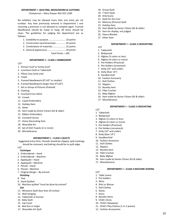#### **DEPARTMENT J -QUILTING, NEEDLEWORK & CLOTHING**

Chairperson – Mary Paeper 402-922-1299

No exhibitor may be allowed more than one entry per lot number. Any item previously entered in Department J and receiving a premium is not allowed to compete again. Framed Needlework should be ready to hang. All items should be clean. The guidelines for judging the department are as follows:

- 1. Suitability to purpose........................... 10 points
- 2. Construction (workmanship) ............... 45 points
- 3. Combination of materials .................... 25 points
- 4. General appearance............................. 20 points

Total Points = 100

#### **DEPARTMENT J – CLASS 1 EMBROIDERY**

#### LOT

- 1. Dresser Scarf or Vanity Scarf
- 2. Luncheon Cloth or Tablecloth
- 3. Pillow Case (only one)
- 4. Towel
- 5. Framed Needlework (8"x10" or smaller)
- 6. Framed Needlework (larger than 8"x10")
- 7. Set or Group of Pictures (framed)
- 8. Clothing
- 9. Counted Cross Stitch
- 10. Crewel
- 11. Liquid Embroidery
- 12. Holiday Item
- 13. Other
- 14. Item made by Senior Citizen (65 & older)
- 15. Ribbon Embroidery
- 16. Counted Canvas
- 17. Home Decorating Item
- 18. Wearable Art
- 19. Set of Dish Towels (2 or more)
- 20. Miscellaneous

#### **DEPARATMENT J – CLASS 2 QUILTS**

Suggested entry hints: threads should be clipped, quilt markings should be removed, and batting should be to quilt edge.

LOT

#### *Technique*

- 1. Embroidered Hand
- 2. Embroidered Machine
- 3. Appliquéd Hand
- 4. Appliquéd Machine
- 5. Pieced Hand
- 6. Pieced Machine
- 7. Original Design By entrant

#### *Finishing*

- 8. Tied
- 9. Hand Quilted
- 10. Machine quilted "must be done by entrant"  *Size*
- 11. Miniature Quilt (less than 20 inches)
- 12. Wall Hanging
- 13. Tablecloth or Runner
- 14. Baby Quilt
- 15. Lap Cover
- 16. Bed Size or larger
- 17. Wearable Art Quilt
- 18. Group Quilt
- 19. T-Shirt Quilt
- 20. Americana
- 21. Quilt for the Cure
- 22. Memory (Picture) Quilt
- 23. Holiday Item
- 24. Item Made by Senior Citizen (65 & older)
- 25. Item for display, not judged
- 26. Fleece Blanket
- 27. Other Item

#### **DEPARTMENT J – CLASS 3 CROCHETING**

- LOT
- 1. Tablecloth
- 2. Bedspread
- 3. Afghan (3 colors or less)
- 4. Afghan (4 colors or more)
- 5. Pot Holders (Practical)
- 6. Pot Holders (ornament)
- 7. Doily (14" and under)
- 8. Doily (0ver 14")
- 9. Handkerchief
- 10. Fashion Accessory
- 11. Doll Clothes
- 12. Slippers
- 13. Novelty Item
- 14. Fillet Crochet
- 15. Baby Afghan
- 16. Item made by Senior Citizen (65 & older)
- 17. Miscellaneous

#### **DEPARTMENT J – CLASS 3 CROCHETING**

**DEPARTMENT J – CLASS 4 MACHINE SEWING**

19

- LOT
- 1. Tablecloth
- 2. Bedspread
- 3. Afghan (3 colors or less)
- 4. Afghan (4 colors or more)
- 5. Pot Holders (Practical)
- 6. Pot Holders (ornament)
- 7. Doily (14" and under)
- 8. Doily (0ver 14")
- 9. Handkerchief
- 10. Fashion Accessory
- 11. Doll Clothes
- 12. Slippers

LOT

- 13. Novelty Item
- 14. Fillet Crochet
- 15. Baby Afghan
- 16. Item made by Senior Citizen (65 & older)

11. Child's Play Clothes (1 or 2 pieces)

12. Fashion Accessories

17. Miscellaneous

1. Table Linens 2. Pot Holders 3. Skirts 4. Shirt or Blouse 5. Doll Clothes 6. Slacks 7. Dress 8. Novelty Items 9. Child's Dress 10. Child's Sleepwear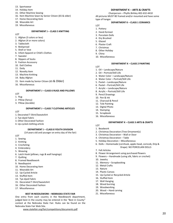- 13. Sportswear
- 14. Holiday Item
- 15. Other Machine Sewing
- 16. Item Machine Sewn by Senior Citizen (65 & older)
- 17. Home Decorating Item
- 18. Wearable Art
- 19. Miscellaneous

#### **DEPARTMENT J – CLASS 5 KNITTING**

LOT

- 1. Afghan (3 colors or less)
- 2. Afghan (4 or more colors)
- 3. Tablecloth
- 4. Bedspread
- 5. Shell or Vest
- 6. Infant Apparel or Child's Clothes
- 7. Sweater
- 8. Slippers of Socks
- 9. Fashion Accessory
- 10. Doll Clothes
- 11. Doily
- 12. Novelty Item
- 13. Machine Knitting
- 14. Baby Afghan
- 15. Item made by Senior Citizen (65 & Older)
- 16. Miscellaneous

#### **DEPARTMENT J – CLASS 6 RUGS AND PILLOWS**

- LOT
- 1. Rug
- 2. Pillow (fancy)
- 3. Pillow (durable)

#### **DEPARTMENT J – CLASS 7 CLOTHING ARTICLES**

- LOT
- 1. Decorated T-Shirt/Sweatshirt
- 2. Tye-dyed Fabric
- 3. Other Decorated Fashion
- 4. Up-cycled clothing article

#### **DEPARTMENT J – CLASS 8 YOUTH DIVISION**

(14 years old and younger on entry day of the fair)

LOT

- 1. Sewing
- 2. Knitting
- 3. Crocheting
- 4. Embroidery
- 5. Weaving
- 6. Latch Hook (pillows, rugs & wall hangings)
- 7. Quilting
- 8. Framed Needlework
- 9. Needlepoint
- 10. Home Decorating Item
- 11. Wearable Art
- 12. Up-Cycled Article
- 13. Stuffed Item
- 14. Tye-dyed Fabric
- 15. Decorated T-Shirt/Sweatshirt
- 16. Other Decorated Fashion
- 17. Miscellaneous

#### **BEST IN NEEDLEWORK – NEBRASKA STATE FAIR**

One entry from each country in the Needlework department, judged best in the county may be entered in the "Best in County" contest at the Nebraska State Fair. Rules can be found on the Nebraska State Fair Web Site.

[www.statefair.org/fair/competitions/documents.pdf](http://www.statefair.org/fair/competitions/documents.pdf)

#### **DEPARTMENT K – ARTS & CRAFTS**

Chairperson – Phyllis Birkley 402-632-4410 All pictures MUST BE framed and/or mounted and have some type of hanger.

#### **DEPARTMENT K – CLASS 1 CERAMICS**

- LOT
- 1. Pottery
- 2. Hand-formed
- 3. Porcelain Dolls
- 4. Dry Brushed
- 5. Glazed
- 6. Plaster Craft
- 7. Christmas
- 8. Other Holiday
- 9. China
- 10. Miscellaneous

#### **DEPARTMENT K – CLASS 2 PAINTING**

LOT

- 1. Oil Landscape/Nature
- 2. Oil Portrait/Still Life
- 3. Water Color Landscape/Nature
- 4. Water Color Portrait/Still Life
- 5. Pastel Landscape/Nature
- 6. Pastel Portrait/Still Life
- 7. Acrylic Landscape/Nature
- 8. Acrylic Portrait/Still Life
- 9. Pencil Drawings
- 10. Pen & Ink
- 11. Charcoal & Pencil
- 12. Tole Painting
- 13. Digital Photo
- 14. Stamping
- 15. Scrapbook
- 16. Miscellaneous

#### **DEPARTMENT K – CLASS 3 ARTS & CRAFTS**

LOT

- 1. Beadwork 2. Christmas Decoration (Tree Ornament(s)
- 3. Christmas Decoration Wall or Door
- 4. Christmas Decoration Table

11. Memory – Scrapbooking

15. Up-Cycled or Recycled Article

- 
- 5. Holiday Decoration Miscellaneous

8. Flower Arrangement using purchased flowers 9. Flowers – Handmade (using silk, fabric or crochet)

6. Dolls – Homemade (cornhusk, apple-head, corncob, Drip & Drape) NO PORCELAIN DOLLS

20

7. Felt Articles

10. Jewelry

12. Metal Crafts 13. Nature 14. Plastic Canvas

16. Stuffed Item 17. Wall Hanging 18. Wood burning 19. Woodworking 20. Wood – Hand carving 21. Miscellaneous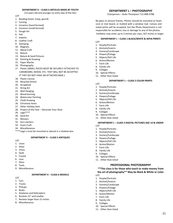#### **DEPARTMENT K – CLASS 4 ARTICLES MADE BY YOUTH**

(14 years old and younger on entry day of the fair)

- LOT
- 1. Beading (loom, hoop, gourd)
- 2. Carving
- 3. Ceramics (hand formed)
- 4. Ceramics (mold formed)
- 5. Dough Art
- 6. Felt
- 7. Jewelry
- 8. Leather Craft
- 9. Stamping
- 10. Magnets
- 11. Metal Craft
- 12. Nature
- 13. Nature & Seed Pictures
- 14. Painting & Drawing
- 15. Paper Mache
- 16. Photography
- 17. Plastic (SMALL PIECES MUST BE SECURELY ATTACHED TO CARDBOARD, WOOD, ETC. THEY WILL NOT BE ACCEPTED IF THEY DO NOT HAVE AN ATTACHED BASE.)
- 18. Plastic Canvas
- 19. Recycled Article
- 20. Scrapbook
- 21. String Art
- 22. Wall Hanging
- 23. Wood burning
- 24. Watercolor Painting
- 25. Chalk Drawing
- 26. Christmas Items
- 27. Other Holiday Item
- 28. Project of the Year Decorate Your Shoe
- 29. Lego\*\*\*\*
- 30. Sand Art
- 31. Mosaics
- 32. Sun-catchers
- 33. Foam Craft
- 34. Miscellaneous
- \*\*\*\*Lego's must be mounted or placed in a shadow box.

#### **DEPARTMENT K – CLASS 5 ANTIQUES**

LOT

- 1. Linen
- 2. Silver
- 3. China
- 4. Quilt
- 5. Crystal 6. Lace
- 7. Glass
- 8. Tools
- 9. Miscellaneous

#### **DEPARTMENT K – CLASS 6 MODELS**

LOT

- 1. Cars
- 2. Trucks
- 3. Pickups
- 4. Boats
- 5. Airplanes and Helicopters
- 6. Rockets 15" and smaller
- 7. Rockets larger than 15 inches
- 8. Miscellaneous

#### **DEPARTMENT L – PHOTOGRAPHY**

Chairperson – Dolie Thompson 712-898-9788

No glass or picture frames. Photos should be mounted on foam core or mat board, or matted with a window mat. Canvas and metal prints will be accepted, but the Photo Department is not responsible for accidents, loss or damage to any of the photos. Exhibitor may enter up to 3 entries per class, 5X7 inches or larger.

#### **DEPARTMENT L – CLASS 1 BLACK/WHITE & SEPIA PRINTS**

- LOT
- 1. People/Portraits
- 2. Animals/Insects
- 3. Scenery/Landscape
- 4. Flowers/Foliage 5. Objects/Still Life
- 6. Action/Motion
- 7. Farm Life
- 
- 8. Family Life
- 9. Collages
- 10. Special Effects
- 11. Other than listed

#### **DEPARTMENT L – CLASS 2 COLOR PRINTS**

LOT

- 1. People/Portraits
- 2. Animals/Insects
- 3. Scenery/Landscape
- 4. Flowers/Foliage
- 5. Objects/Still Life
- 6. Action/Motion
- 7. Farm Life
- 8. Family Life
- 9. Collages
- 10. Special Effects
- 11. Other than listed

#### **DEPARTMENT L – CLASS 3 DIGITAL PICTURES AGE 14 & UNDER**

**PROFESSIONAL PHOTOGRAPHY \*\*This class is for those who teach or make money from the art of photography\*\* May be Black & White or Color**

21

LOT

- 1. People/Portraits
- 2. Animals/Insects
- 3. Scenery/Landscape
- 4. Flowers/Foliage
- 5. Objects/Still Life
- 6. Action/Motion
- 7. Farm Life
- 8. Family Life
- 9. Collages

LOT

- 10. Special Effects
- 11. Other than listed

1. People/Portraits 2. Animals/Insects 3. Scenery/Landscape 4. Flowers/Foliage 5. Objects/Still Life 6. Action/Motion 7. Farm Life 8. Family Life 9. Collages 10. Special Effects 11. Other than listed